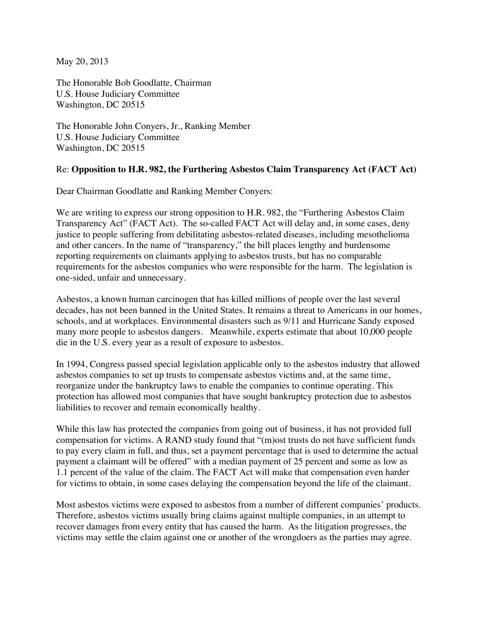May 20, 2013

The Honorable Bob Goodlatte*,* Chairman U.S. House Judiciary Committee Washington, DC 20515

The Honorable John Conyers, Jr., Ranking Member U.S. House Judiciary Committee Washington, DC 20515

## Re: **Opposition to H.R. 982, the Furthering Asbestos Claim Transparency Act (FACT Act)**

Dear Chairman Goodlatte and Ranking Member Conyers:

We are writing to express our strong opposition to H.R. 982, the "Furthering Asbestos Claim Transparency Act" (FACT Act). The so-called FACT Act will delay and, in some cases, deny justice to people suffering from debilitating asbestos-related diseases, including mesothelioma and other cancers. In the name of "transparency," the bill places lengthy and burdensome reporting requirements on claimants applying to asbestos trusts, but has no comparable requirements for the asbestos companies who were responsible for the harm. The legislation is one-sided, unfair and unnecessary.

Asbestos, a known human carcinogen that has killed millions of people over the last several decades, has not been banned in the United States. It remains a threat to Americans in our homes, schools, and at workplaces. Environmental disasters such as 9/11 and Hurricane Sandy exposed many more people to asbestos dangers. Meanwhile, experts estimate that about 10,000 people die in the U.S. every year as a result of exposure to asbestos.

In 1994, Congress passed special legislation applicable only to the asbestos industry that allowed asbestos companies to set up trusts to compensate asbestos victims and, at the same time, reorganize under the bankruptcy laws to enable the companies to continue operating. This protection has allowed most companies that have sought bankruptcy protection due to asbestos liabilities to recover and remain economically healthy.

While this law has protected the companies from going out of business, it has not provided full compensation for victims. A RAND study found that "(m)ost trusts do not have sufficient funds to pay every claim in full, and thus, set a payment percentage that is used to determine the actual payment a claimant will be offered" with a median payment of 25 percent and some as low as 1.1 percent of the value of the claim. The FACT Act will make that compensation even harder for victims to obtain, in some cases delaying the compensation beyond the life of the claimant.

Most asbestos victims were exposed to asbestos from a number of different companies' products. Therefore, asbestos victims usually bring claims against multiple companies, in an attempt to recover damages from every entity that has caused the harm. As the litigation progresses, the victims may settle the claim against one or another of the wrongdoers as the parties may agree.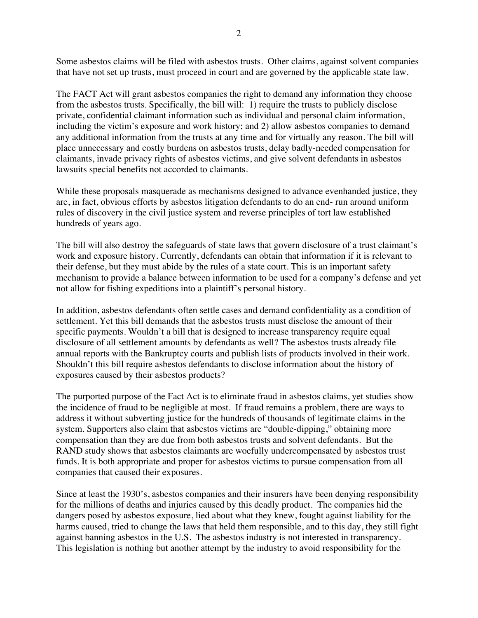Some asbestos claims will be filed with asbestos trusts. Other claims, against solvent companies that have not set up trusts, must proceed in court and are governed by the applicable state law.

The FACT Act will grant asbestos companies the right to demand any information they choose from the asbestos trusts. Specifically, the bill will: 1) require the trusts to publicly disclose private, confidential claimant information such as individual and personal claim information, including the victim's exposure and work history; and 2) allow asbestos companies to demand any additional information from the trusts at any time and for virtually any reason. The bill will place unnecessary and costly burdens on asbestos trusts, delay badly-needed compensation for claimants, invade privacy rights of asbestos victims, and give solvent defendants in asbestos lawsuits special benefits not accorded to claimants.

While these proposals masquerade as mechanisms designed to advance evenhanded justice, they are, in fact, obvious efforts by asbestos litigation defendants to do an end- run around uniform rules of discovery in the civil justice system and reverse principles of tort law established hundreds of years ago.

The bill will also destroy the safeguards of state laws that govern disclosure of a trust claimant's work and exposure history. Currently, defendants can obtain that information if it is relevant to their defense, but they must abide by the rules of a state court. This is an important safety mechanism to provide a balance between information to be used for a company's defense and yet not allow for fishing expeditions into a plaintiff's personal history.

In addition, asbestos defendants often settle cases and demand confidentiality as a condition of settlement. Yet this bill demands that the asbestos trusts must disclose the amount of their specific payments. Wouldn't a bill that is designed to increase transparency require equal disclosure of all settlement amounts by defendants as well? The asbestos trusts already file annual reports with the Bankruptcy courts and publish lists of products involved in their work. Shouldn't this bill require asbestos defendants to disclose information about the history of exposures caused by their asbestos products?

The purported purpose of the Fact Act is to eliminate fraud in asbestos claims, yet studies show the incidence of fraud to be negligible at most. If fraud remains a problem, there are ways to address it without subverting justice for the hundreds of thousands of legitimate claims in the system. Supporters also claim that asbestos victims are "double-dipping," obtaining more compensation than they are due from both asbestos trusts and solvent defendants. But the RAND study shows that asbestos claimants are woefully undercompensated by asbestos trust funds. It is both appropriate and proper for asbestos victims to pursue compensation from all companies that caused their exposures.

Since at least the 1930's, asbestos companies and their insurers have been denying responsibility for the millions of deaths and injuries caused by this deadly product. The companies hid the dangers posed by asbestos exposure, lied about what they knew, fought against liability for the harms caused, tried to change the laws that held them responsible, and to this day, they still fight against banning asbestos in the U.S. The asbestos industry is not interested in transparency. This legislation is nothing but another attempt by the industry to avoid responsibility for the